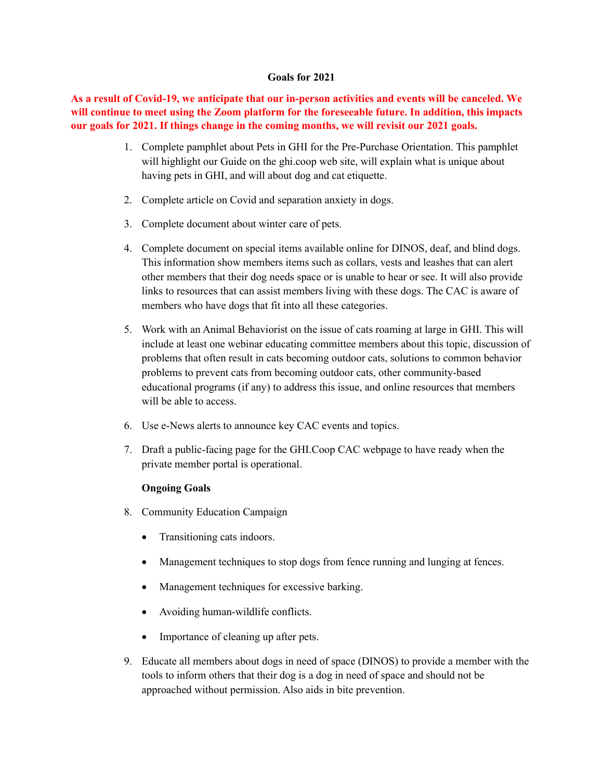## **Goals for 2021**

**As a result of Covid-19, we anticipate that our in-person activities and events will be canceled. We will continue to meet using the Zoom platform for the foreseeable future. In addition, this impacts our goals for 2021. If things change in the coming months, we will revisit our 2021 goals.**

- 1. Complete pamphlet about Pets in GHI for the Pre-Purchase Orientation. This pamphlet will highlight our Guide on the ghi.coop web site, will explain what is unique about having pets in GHI, and will about dog and cat etiquette.
- 2. Complete article on Covid and separation anxiety in dogs.
- 3. Complete document about winter care of pets.
- 4. Complete document on special items available online for DINOS, deaf, and blind dogs. This information show members items such as collars, vests and leashes that can alert other members that their dog needs space or is unable to hear or see. It will also provide links to resources that can assist members living with these dogs. The CAC is aware of members who have dogs that fit into all these categories.
- 5. Work with an Animal Behaviorist on the issue of cats roaming at large in GHI. This will include at least one webinar educating committee members about this topic, discussion of problems that often result in cats becoming outdoor cats, solutions to common behavior problems to prevent cats from becoming outdoor cats, other community-based educational programs (if any) to address this issue, and online resources that members will be able to access.
- 6. Use e-News alerts to announce key CAC events and topics.
- 7. Draft a public-facing page for the GHI.Coop CAC webpage to have ready when the private member portal is operational.

## **Ongoing Goals**

- 8. Community Education Campaign
	- Transitioning cats indoors.
	- Management techniques to stop dogs from fence running and lunging at fences.
	- Management techniques for excessive barking.
	- Avoiding human-wildlife conflicts.
	- Importance of cleaning up after pets.
- 9. Educate all members about dogs in need of space (DINOS) to provide a member with the tools to inform others that their dog is a dog in need of space and should not be approached without permission. Also aids in bite prevention.